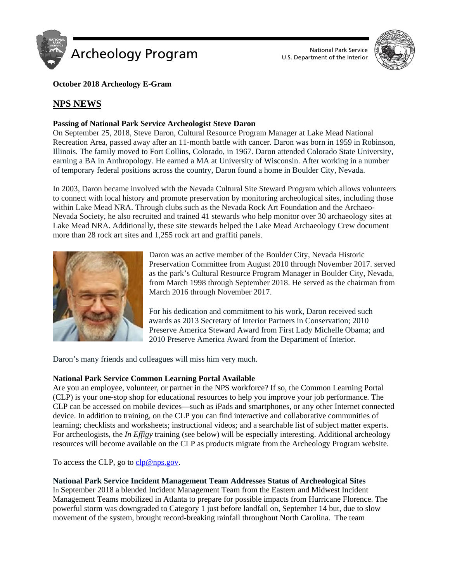

U.S. Department of the Interior



# **October 2018 Archeology E-Gram**

# **NPS NEWS**

# **Passing of National Park Service Archeologist Steve Daron**

On September 25, 2018, Steve Daron, Cultural Resource Program Manager at Lake Mead National Recreation Area, passed away after an 11-month battle with cancer. Daron was born in 1959 in Robinson, Illinois. The family moved to Fort Collins, Colorado, in 1967. Daron attended Colorado State University, earning a BA in Anthropology. He earned a MA at University of Wisconsin. After working in a number of temporary federal positions across the country, Daron found a home in Boulder City, Nevada.

In 2003, Daron became involved with the Nevada Cultural Site Steward Program which allows volunteers to connect with local history and promote preservation by monitoring archeological sites, including those within Lake Mead NRA. Through clubs such as the Nevada Rock Art Foundation and the Archaeo-Nevada Society, he also recruited and trained 41 stewards who help monitor over 30 archaeology sites at Lake Mead NRA. Additionally, these site stewards helped the Lake Mead Archaeology Crew document more than 28 rock art sites and 1,255 rock art and graffiti panels.



Daron was an active member of the Boulder City, Nevada Historic Preservation Committee from August 2010 through November 2017. served as the park's Cultural Resource Program Manager in Boulder City, Nevada, from March 1998 through September 2018. He served as the chairman from March 2016 through November 2017.

For his dedication and commitment to his work, Daron received such awards as 2013 Secretary of Interior Partners in Conservation; 2010 Preserve America Steward Award from First Lady Michelle Obama; and 2010 Preserve America Award from the Department of Interior.

Daron's many friends and colleagues will miss him very much.

### **National Park Service Common Learning Portal Available**

Are you an employee, volunteer, or partner in the NPS workforce? If so, the Common Learning Portal (CLP) is your one-stop shop for educational resources to help you improve your job performance. The CLP can be accessed on mobile devices—such as iPads and smartphones, or any other Internet connected device. In addition to training, on the CLP you can find interactive and collaborative communities of learning; checklists and worksheets; instructional videos; and a searchable list of subject matter experts. For archeologists, the *In Effigy* training (see below) will be especially interesting. Additional archeology resources will become available on the CLP as products migrate from the Archeology Program website.

To access the CLP, go to  $\text{clp@nps.gov}$ .

# **National Park Service Incident Management Team Addresses Status of Archeological Sites**

In September 2018 a blended Incident Management Team from the Eastern and Midwest Incident Management Teams mobilized in Atlanta to prepare for possible impacts from Hurricane Florence. The powerful storm was downgraded to Category 1 just before landfall on, September 14 but, due to slow movement of the system, brought record-breaking rainfall throughout North Carolina. The team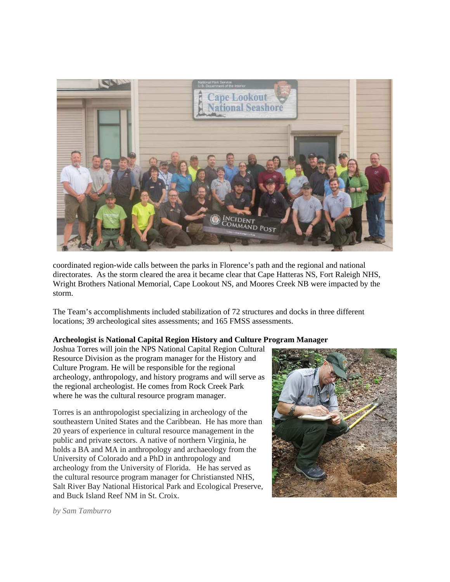

coordinated region-wide calls between the parks in Florence's path and the regional and national directorates. As the storm cleared the area it became clear that Cape Hatteras NS, Fort Raleigh NHS, Wright Brothers National Memorial, Cape Lookout NS, and Moores Creek NB were impacted by the storm.

The Team's accomplishments included stabilization of 72 structures and docks in three different locations; 39 archeological sites assessments; and 165 FMSS assessments.

### **Archeologist is National Capital Region History and Culture Program Manager**

Joshua Torres will join the NPS National Capital Region Cultural Resource Division as the program manager for the History and Culture Program. He will be responsible for the regional archeology, anthropology, and history programs and will serve as the regional archeologist. He comes from Rock Creek Park where he was the cultural resource program manager.

Torres is an anthropologist specializing in archeology of the southeastern United States and the Caribbean. He has more than 20 years of experience in cultural resource management in the public and private sectors. A native of northern Virginia, he holds a BA and MA in anthropology and archaeology from the University of Colorado and a PhD in anthropology and archeology from the University of Florida. He has served as the cultural resource program manager for Christiansted NHS, Salt River Bay National Historical Park and Ecological Preserve, and Buck Island Reef NM in St. Croix.



*by Sam Tamburro*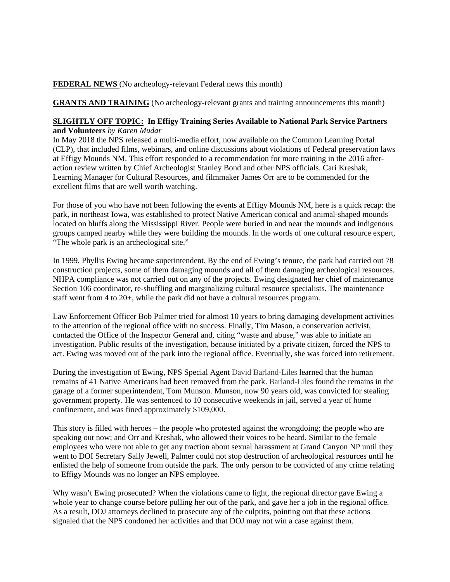## **FEDERAL NEWS** (No archeology-relevant Federal news this month)

**GRANTS AND TRAINING** (No archeology-relevant grants and training announcements this month)

## **SLIGHTLY OFF TOPIC: In Effigy Training Series Available to National Park Service Partners and Volunteers** *by Karen Mudar*

In May 2018 the NPS released a multi-media effort, now available on the Common Learning Portal (CLP), that included films, webinars, and online discussions about violations of Federal preservation laws at Effigy Mounds NM. This effort responded to a recommendation for more training in the 2016 afteraction review written by Chief Archeologist Stanley Bond and other NPS officials. Cari Kreshak, Learning Manager for Cultural Resources, and filmmaker James Orr are to be commended for the excellent films that are well worth watching.

For those of you who have not been following the events at Effigy Mounds NM, here is a quick recap: the park, in northeast Iowa, was established to protect Native American conical and animal-shaped mounds located on bluffs along the Mississippi River. People were buried in and near the mounds and indigenous groups camped nearby while they were building the mounds. In the words of one cultural resource expert, "The whole park is an archeological site."

In 1999, Phyllis Ewing became superintendent. By the end of Ewing's tenure, the park had carried out 78 construction projects, some of them damaging mounds and all of them damaging archeological resources. NHPA compliance was not carried out on any of the projects. Ewing designated her chief of maintenance Section 106 coordinator, re-shuffling and marginalizing cultural resource specialists. The maintenance staff went from 4 to 20+, while the park did not have a cultural resources program.

Law Enforcement Officer Bob Palmer tried for almost 10 years to bring damaging development activities to the attention of the regional office with no success. Finally, Tim Mason, a conservation activist, contacted the Office of the Inspector General and, citing "waste and abuse," was able to initiate an investigation. Public results of the investigation, because initiated by a private citizen, forced the NPS to act. Ewing was moved out of the park into the regional office. Eventually, she was forced into retirement.

During the investigation of Ewing, NPS Special Agent David Barland-Liles learned that the human remains of 41 Native Americans had been removed from the park. Barland-Liles found the remains in the garage of a former superintendent, Tom Munson. Munson, now 90 years old, was convicted for stealing government property. He was sentenced to 10 consecutive weekends in jail, served a year of home confinement, and was fined approximately \$109,000.

This story is filled with heroes – the people who protested against the wrongdoing; the people who are speaking out now; and Orr and Kreshak, who allowed their voices to be heard. Similar to the female employees who were not able to get any traction about sexual harassment at Grand Canyon NP until they went to DOI Secretary Sally Jewell, Palmer could not stop destruction of archeological resources until he enlisted the help of someone from outside the park. The only person to be convicted of any crime relating to Effigy Mounds was no longer an NPS employee.

Why wasn't Ewing prosecuted? When the violations came to light, the regional director gave Ewing a whole year to change course before pulling her out of the park, and gave her a job in the regional office. As a result, DOJ attorneys declined to prosecute any of the culprits, pointing out that these actions signaled that the NPS condoned her activities and that DOJ may not win a case against them.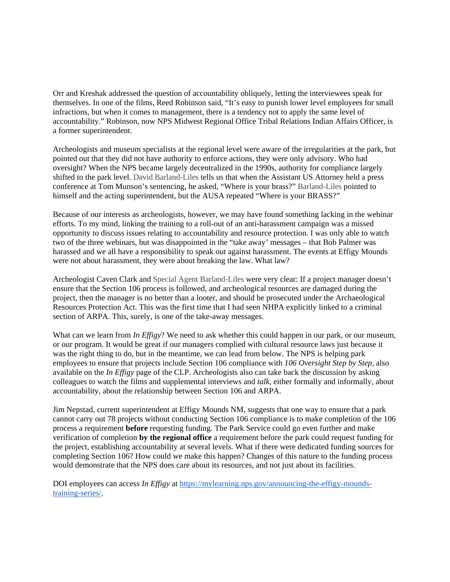Orr and Kreshak addressed the question of accountability obliquely, letting the interviewees speak for themselves. In one of the films, Reed Robinson said, "It's easy to punish lower level employees for small infractions, but when it comes to management, there is a tendency not to apply the same level of accountability." Robinson, now NPS Midwest Regional Office Tribal Relations Indian Affairs Officer, is a former superintendent.

Archeologists and museum specialists at the regional level were aware of the irregularities at the park, but pointed out that they did not have authority to enforce actions, they were only advisory. Who had oversight? When the NPS became largely decentralized in the 1990s, authority for compliance largely shifted to the park level. David Barland-Liles tells us that when the Assistant US Attorney held a press conference at Tom Munson's sentencing, he asked, "Where is your brass?" Barland-Liles pointed to himself and the acting superintendent, but the AUSA repeated "Where is your BRASS?"

Because of our interests as archeologists, however, we may have found something lacking in the webinar efforts. To my mind, linking the training to a roll-out of an anti-harassment campaign was a missed opportunity to discuss issues relating to accountability and resource protection. I was only able to watch two of the three webinars, but was disappointed in the "take away' messages – that Bob Palmer was harassed and we all have a responsibility to speak out against harassment. The events at Effigy Mounds were not about harassment, they were about breaking the law. What law?

Archeologist Caven Clark and Special Agent Barland-Liles were very clear: If a project manager doesn't ensure that the Section 106 process is followed, and archeological resources are damaged during the project, then the manager is no better than a looter, and should be prosecuted under the Archaeological Resources Protection Act. This was the first time that I had seen NHPA explicitly linked to a criminal section of ARPA. This, surely, is one of the take-away messages.

What can we learn from *In Effigy*? We need to ask whether this could happen in our park, or our museum, or our program. It would be great if our managers complied with cultural resource laws just because it was the right thing to do, but in the meantime, we can lead from below. The NPS is helping park employees to ensure that projects include Section 106 compliance with *106 Oversight Step by Step,* also available on the *In Effigy* page of the CLP. Archeologists also can take back the discussion by asking colleagues to watch the films and supplemental interviews and *talk,* either formally and informally, about accountability, about the relationship between Section 106 and ARPA.

Jim Nepstad, current superintendent at Effigy Mounds NM, suggests that one way to ensure that a park cannot carry out 78 projects without conducting Section 106 compliance is to make completion of the 106 process a requirement **before** requesting funding. The Park Service could go even further and make verification of completion **by the regional office** a requirement before the park could request funding for the project, establishing accountability at several levels. What if there were dedicated funding sources for completing Section 106? How could we make this happen? Changes of this nature to the funding process would demonstrate that the NPS does care about its resources, and not just about its facilities.

DOI employees can access *In Effigy* at [https://mylearning.nps.gov/announcing-the-effigy-mounds](https://mylearning.nps.gov/announcing-the-effigy-mounds-training-series/)[training-series/.](https://mylearning.nps.gov/announcing-the-effigy-mounds-training-series/)